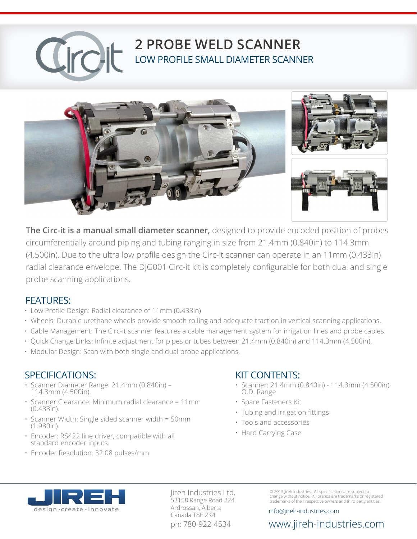# **2 PROBE WELD SCANNER** LOW PROFILE SMALL DIAMETER SCANNER



**The Circ-it is a manual small diameter scanner,** designed to provide encoded position of probes circumferentially around piping and tubing ranging in size from 21.4mm (0.840in) to 114.3mm (4.500in). Due to the ultra low profile design the Circ-it scanner can operate in an 11mm (0.433in) radial clearance envelope. The DJG001 Circ-it kit is completely configurable for both dual and single probe scanning applications.

#### FEATURES:

- Low Profile Design: Radial clearance of 11mm (0.433in)
- Wheels: Durable urethane wheels provide smooth rolling and adequate traction in vertical scanning applications.
- Cable Management: The Circ-it scanner features a cable management system for irrigation lines and probe cables.
- Quick Change Links: Infinite adjustment for pipes or tubes between 21.4mm (0.840in) and 114.3mm (4.500in).
- Modular Design: Scan with both single and dual probe applications.

#### SPECIFICATIONS:

- Scanner Diameter Range: 21.4mm (0.840in) 114.3mm (4.500in).
- Scanner Clearance: Minimum radial clearance = 11mm (0.433in).
- Scanner Width: Single sided scanner width = 50mm (1.980in).
- Encoder: RS422 line driver, compatible with all standard encoder inputs.
- Encoder Resolution: 32.08 pulses/mm

#### KIT CONTENTS:

- Scanner: 21.4mm (0.840in) 114.3mm (4.500in) O.D. Range
- Spare Fasteners Kit
- Tubing and irrigation fittings
- Tools and accessories
- Hard Carrying Case



Jireh Industries Ltd. 53158 Range Road 224 Ardrossan, Alberta Canada T8E 2K4

© 2013 Jireh Industries. All specifications are subject to change without notice. All brands are trademarks or registered trademarks of their respective owners and third party entities.

info@jireh-industries.com

#### ph: 780-922-4534 www.jireh-industries.com